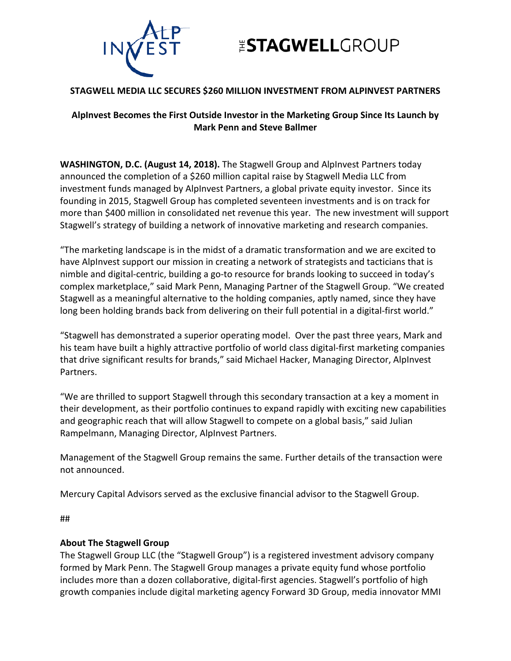

## **ESTAGWELLGROUP**

### **STAGWELL MEDIA LLC SECURES \$260 MILLION INVESTMENT FROM ALPINVEST PARTNERS**

### **AlpInvest Becomes the First Outside Investor in the Marketing Group Since Its Launch by Mark Penn and Steve Ballmer**

**WASHINGTON, D.C. (August 14, 2018).** The Stagwell Group and AlpInvest Partners today announced the completion of a \$260 million capital raise by Stagwell Media LLC from investment funds managed by AlpInvest Partners, a global private equity investor. Since its founding in 2015, Stagwell Group has completed seventeen investments and is on track for more than \$400 million in consolidated net revenue this year. The new investment will support Stagwell's strategy of building a network of innovative marketing and research companies.

"The marketing landscape is in the midst of a dramatic transformation and we are excited to have AlpInvest support our mission in creating a network of strategists and tacticians that is nimble and digital-centric, building a go-to resource for brands looking to succeed in today's complex marketplace," said Mark Penn, Managing Partner of the Stagwell Group. "We created Stagwell as a meaningful alternative to the holding companies, aptly named, since they have long been holding brands back from delivering on their full potential in a digital-first world."

"Stagwell has demonstrated a superior operating model. Over the past three years, Mark and his team have built a highly attractive portfolio of world class digital-first marketing companies that drive significant results for brands," said Michael Hacker, Managing Director, AlpInvest Partners.

"We are thrilled to support Stagwell through this secondary transaction at a key a moment in their development, as their portfolio continues to expand rapidly with exciting new capabilities and geographic reach that will allow Stagwell to compete on a global basis," said Julian Rampelmann, Managing Director, AlpInvest Partners.

Management of the Stagwell Group remains the same. Further details of the transaction were not announced.

Mercury Capital Advisors served as the exclusive financial advisor to the Stagwell Group.

##

### **About The Stagwell Group**

The Stagwell Group LLC (the "Stagwell Group") is a registered investment advisory company formed by Mark Penn. The Stagwell Group manages a private equity fund whose portfolio includes more than a dozen collaborative, digital-first agencies. Stagwell's portfolio of high growth companies include digital marketing agency Forward 3D Group, media innovator MMI